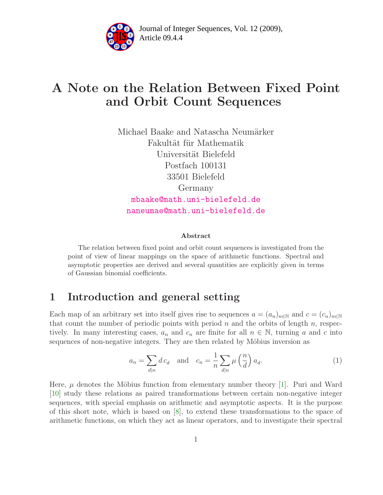

Article 09.4.4 **<sup>2</sup>** Journal of Integer Sequences, Vol. 12 (2009),

# A Note on the Relation Between Fixed Point and Orbit Count Sequences

Michael Baake and Natascha Neumärker Fakultät für Mathematik Universität Bielefeld Postfach 100131 33501 Bielefeld Germany [mbaake@math.uni-bielefeld.de](mailto:mbaake@math.uni-bielefeld.de) [naneumae@math.uni-bielefeld.de](mailto:naneumae@math.uni-bielefeld.de)

#### <span id="page-0-0"></span>Abstract

The relation between fixed point and orbit count sequences is investigated from the point of view of linear mappings on the space of arithmetic functions. Spectral and asymptotic properties are derived and several quantities are explicitly given in terms of Gaussian binomial coefficients.

## 1 Introduction and general setting

Each map of an arbitrary set into itself gives rise to sequences  $a = (a_n)_{n \in \mathbb{N}}$  and  $c = (c_n)_{n \in \mathbb{N}}$ that count the number of periodic points with period  $n$  and the orbits of length  $n$ , respectively. In many interesting cases,  $a_n$  and  $c_n$  are finite for all  $n \in \mathbb{N}$ , turning a and c into sequences of non-negative integers. They are then related by Möbius inversion as

$$
a_n = \sum_{d|n} d c_d \quad \text{and} \quad c_n = \frac{1}{n} \sum_{d|n} \mu\left(\frac{n}{d}\right) a_d. \tag{1}
$$

Here,  $\mu$  denotes the Möbius function from elementary number theory [\[1\]](#page-10-0). Puri and Ward [\[10\]](#page-11-0) study these relations as paired transformations between certain non-negative integer sequences, with special emphasis on arithmetic and asymptotic aspects. It is the purpose of this short note, which is based on [\[8\]](#page-10-1), to extend these transformations to the space of arithmetic functions, on which they act as linear operators, and to investigate their spectral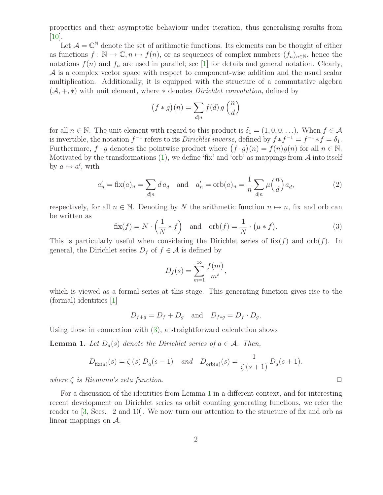properties and their asymptotic behaviour under iteration, thus generalising results from  $|10|$ .

Let  $\mathcal{A} = \mathbb{C}^{\mathbb{N}}$  denote the set of arithmetic functions. Its elements can be thought of either as functions  $f: \mathbb{N} \to \mathbb{C}, n \mapsto f(n)$ , or as sequences of complex numbers  $(f_n)_{n\in\mathbb{N}}$ , hence the notations  $f(n)$  and  $f_n$  are used in parallel; see [\[1\]](#page-10-0) for details and general notation. Clearly,  $\mathcal A$  is a complex vector space with respect to component-wise addition and the usual scalar multiplication. Additionally, it is equipped with the structure of a commutative algebra  $(\mathcal{A}, +, *)$  with unit element, where  $*$  denotes *Dirichlet convolution*, defined by

$$
(f * g)(n) = \sum_{d|n} f(d) g\left(\frac{n}{d}\right)
$$

for all  $n \in \mathbb{N}$ . The unit element with regard to this product is  $\delta_1 = (1, 0, 0, \ldots)$ . When  $f \in \mathcal{A}$ is invertible, the notation  $f^{-1}$  refers to its *Dirichlet inverse*, defined by  $f * f^{-1} = f^{-1} * f = \delta_1$ . Furthermore,  $f \cdot g$  denotes the pointwise product where  $(f \cdot g)(n) = f(n)g(n)$  for all  $n \in \mathbb{N}$ . Motivated by the transformations  $(1)$ , we define 'fix' and 'orb' as mappings from A into itself by  $a \mapsto a'$ , with

$$
a'_n = \operatorname{fix}(a)_n = \sum_{d|n} d a_d \quad \text{and} \quad a'_n = \operatorname{orb}(a)_n = \frac{1}{n} \sum_{d|n} \mu\left(\frac{n}{d}\right) a_d,\tag{2}
$$

<span id="page-1-0"></span>respectively, for all  $n \in \mathbb{N}$ . Denoting by N the arithmetic function  $n \mapsto n$ , fix and orb can be written as

$$
fix(f) = N \cdot \left(\frac{1}{N} * f\right) \text{ and } orb(f) = \frac{1}{N} \cdot (\mu * f). \tag{3}
$$

This is particularly useful when considering the Dirichlet series of  $f(x(f))$  and  $orb(f)$ . In general, the Dirichlet series  $D_f$  of  $f \in \mathcal{A}$  is defined by

$$
D_f(s) = \sum_{m=1}^{\infty} \frac{f(m)}{m^s},
$$

which is viewed as a formal series at this stage. This generating function gives rise to the (formal) identities [\[1\]](#page-10-0)

$$
D_{f+g} = D_f + D_g \quad \text{and} \quad D_{f*g} = D_f \cdot D_g.
$$

<span id="page-1-1"></span>Using these in connection with [\(3\)](#page-1-0), a straightforward calculation shows

**Lemma 1.** Let  $D_a(s)$  denote the Dirichlet series of  $a \in \mathcal{A}$ . Then,

$$
D_{\text{fix}(a)}(s) = \zeta(s) D_a(s-1)
$$
 and  $D_{\text{orb}(a)}(s) = \frac{1}{\zeta(s+1)} D_a(s+1)$ .

where  $\zeta$  is Riemann's zeta function.  $\Box$ 

For a discussion of the identities from Lemma [1](#page-1-1) in a different context, and for interesting recent development on Dirichlet series as orbit counting generating functions, we refer the reader to [\[3,](#page-10-2) Secs. 2 and 10]. We now turn our attention to the structure of fix and orb as linear mappings on A.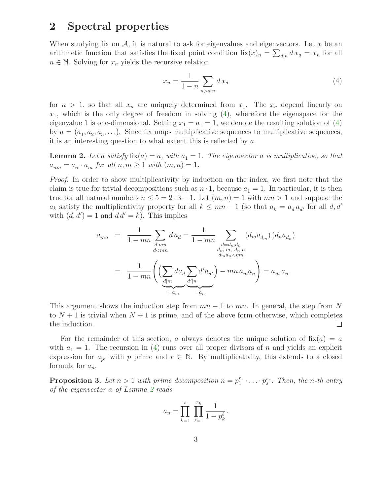### 2 Spectral properties

When studying fix on  $\mathcal{A}$ , it is natural to ask for eigenvalues and eigenvectors. Let x be an arithmetic function that satisfies the fixed point condition  $\operatorname{fix}(x)_n = \sum_{d|n} dx_d = x_n$  for all  $n \in \mathbb{N}$ . Solving for  $x_n$  yields the recursive relation

<span id="page-2-0"></span>
$$
x_n = \frac{1}{1-n} \sum_{n > d|n} dx_d \tag{4}
$$

for  $n > 1$ , so that all  $x_n$  are uniquely determined from  $x_1$ . The  $x_n$  depend linearly on  $x_1$ , which is the only degree of freedom in solving  $(4)$ , wherefore the eigenspace for the eigenvalue 1 is one-dimensional. Setting  $x_1 = a_1 = 1$ , we denote the resulting solution of [\(4\)](#page-2-0) by  $a = (a_1, a_2, a_3, \ldots)$ . Since fix maps multiplicative sequences to multiplicative sequences, it is an interesting question to what extent this is reflected by a.

<span id="page-2-1"></span>**Lemma 2.** Let a satisfy fix(a) = a, with  $a_1 = 1$ . The eigenvector a is multiplicative, so that  $a_{nm} = a_n \cdot a_m$  for all  $n, m \ge 1$  with  $(m, n) = 1$ .

Proof. In order to show multiplicativity by induction on the index, we first note that the claim is true for trivial decompositions such as  $n \cdot 1$ , because  $a_1 = 1$ . In particular, it is then true for all natural numbers  $n \leq 5 = 2 \cdot 3 - 1$ . Let  $(m, n) = 1$  with  $mn > 1$  and suppose the  $a_k$  satisfy the multiplicativity property for all  $k \leq mn - 1$  (so that  $a_k = a_d a_{d'}$  for all d, d' with  $(d, d') = 1$  and  $d d' = k$ ). This implies

$$
a_{mn} = \frac{1}{1 - mn} \sum_{\substack{d \mid mn \\ d < mn}} d a_d = \frac{1}{1 - mn} \sum_{\substack{d = d_m d_n \\ d_m | m, d_n | n}} (d_m a_{d_m}) (d_n a_{d_n})
$$

$$
= \frac{1}{1 - mn} \left( \sum_{\substack{d \mid m \\ d | m}} d a_d \sum_{\substack{d' \mid n \\ d' | n}} d' a_{d'} \right) - mn a_m a_n \right) = a_m a_n.
$$

This argument shows the induction step from  $mn - 1$  to  $mn$ . In general, the step from N to  $N+1$  is trivial when  $N+1$  is prime, and of the above form otherwise, which completes the induction.  $\Box$ 

For the remainder of this section, a always denotes the unique solution of  $f(x) = a$ with  $a_1 = 1$ . The recursion in [\(4\)](#page-2-0) runs over all proper divisors of n and yields an explicit expression for  $a_{p^r}$  with p prime and  $r \in \mathbb{N}$ . By multiplicativity, this extends to a closed formula for  $a_n$ .

<span id="page-2-2"></span>**Proposition 3.** Let  $n > 1$  with prime decomposition  $n = p_1^{r_1} \cdot \ldots \cdot p_s^{r_s}$ . Then, the n-th entry of the eigenvector a of Lemma [2](#page-2-1) reads

$$
a_n = \prod_{k=1}^s \prod_{\ell=1}^{r_k} \frac{1}{1 - p_k^{\ell}}.
$$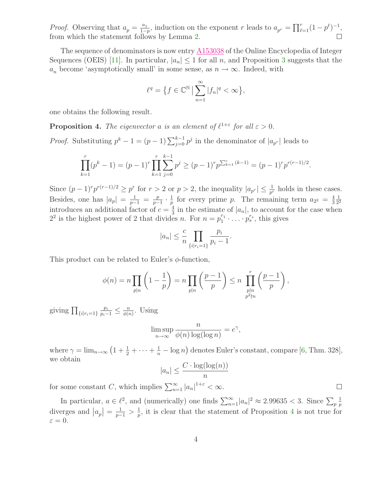*Proof.* Observing that  $a_p = \frac{a_1}{1-a_2}$  $\frac{a_1}{1-p}$ , induction on the exponent r leads to  $a_{p^r} = \prod_{\ell=1}^r (1-p^{\ell})^{-1}$ , from which the statement follows by Lemma [2.](#page-2-1)

The sequence of denominators is now entry  $\triangle 153038$  of the Online Encyclopedia of Integer Sequences (OEIS) [\[11\]](#page-11-1). In particular,  $|a_n| \leq 1$  for all n, and Proposition [3](#page-2-2) suggests that the  $a_n$  become 'asymptotically small' in some sense, as  $n \to \infty$ . Indeed, with

$$
\ell^q = \left\{ f \in \mathbb{C}^{\mathbb{N}} \, \middle| \, \sum_{n=1}^{\infty} |f_n|^q < \infty \right\},
$$

<span id="page-3-0"></span>one obtains the following result.

**Proposition 4.** The eigenvector a is an element of  $\ell^{1+\epsilon}$  for all  $\epsilon > 0$ .

*Proof.* Substituting  $p^k - 1 = (p - 1) \sum_{j=0}^{k-1} p^j$  in the denominator of  $|a_{p^r}|$  leads to

$$
\prod_{k=1}^r (p^k - 1) = (p - 1)^r \prod_{k=1}^r \sum_{j=0}^{k-1} p^j \ge (p - 1)^r p^{\sum_{k=1}^r (k-1)} = (p - 1)^r p^{r(r-1)/2}.
$$

Since  $(p-1)^r p^{r(r-1)/2} \geq p^r$  for  $r > 2$  or  $p > 2$ , the inequality  $|a_{p^r}| \leq \frac{1}{p^r}$  holds in these cases. Besides, one has  $|a_p| = \frac{1}{p-1} = \frac{p}{p-1}$  $\frac{p}{p-1} \cdot \frac{1}{p}$  $\frac{1}{p}$  for every prime p. The remaining term  $a_{2^2} = \frac{4}{3}$ 3 1 2 2 introduces an additional factor of  $c = \frac{4}{3}$  $\frac{4}{3}$  in the estimate of  $|a_n|$ , to account for the case when  $2^2$  is the highest power of 2 that divides n. For  $n = p_1^{r_1} \cdot \ldots \cdot p_s^{r_s}$ , this gives

$$
|a_n| \leq \frac{c}{n} \prod_{\{i|r_i=1\}} \frac{p_i}{p_i - 1}.
$$

This product can be related to Euler's  $\phi$ -function,

$$
\phi(n) = n \prod_{p|n} \left( 1 - \frac{1}{p} \right) = n \prod_{p|n} \left( \frac{p-1}{p} \right) \le n \prod_{\substack{p|n \\ p^2 \nmid n}} \left( \frac{p-1}{p} \right),
$$

giving  $\prod_{\{i|r_i=1\}}$  $\frac{p_i}{p_i-1} \leq \frac{n}{\phi(n)}$  $\frac{n}{\phi(n)}$ . Using

$$
\limsup_{n \to \infty} \frac{n}{\phi(n) \log(\log n)} = e^{\gamma},
$$

where  $\gamma = \lim_{n \to \infty} (1 + \frac{1}{2} + \cdots + \frac{1}{n} - \log n)$  denotes Euler's constant, compare [\[6,](#page-10-3) Thm. 328], we obtain

$$
|a_n| \leq \frac{C \cdot \log(\log(n))}{n}
$$

 $\Box$ 

for some constant C, which implies  $\sum_{n=1}^{\infty} |a_n|^{1+\varepsilon} < \infty$ .

<span id="page-3-1"></span>In particular,  $a \in \ell^2$ , and (numerically) one finds  $\sum_{n=1}^{\infty} |a_n|^2 \approx 2.99635 < 3$ . Since  $\sum_{p}$ 1 p diverges and  $|a_p| = \frac{1}{p-1} > \frac{1}{p}$  $\frac{1}{p}$ , it is clear that the statement of Proposition [4](#page-3-0) is not true for  $\varepsilon = 0.$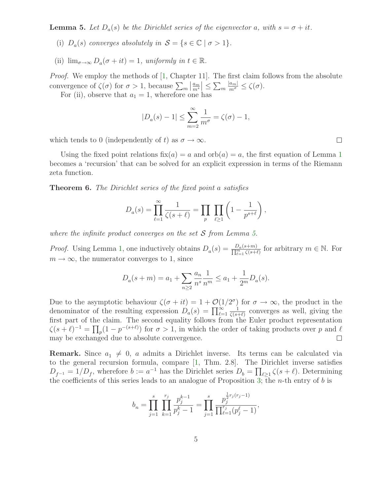**Lemma 5.** Let  $D_a(s)$  be the Dirichlet series of the eigenvector a, with  $s = \sigma + it$ .

- (i)  $D_a(s)$  converges absolutely in  $S = \{s \in \mathbb{C} \mid \sigma > 1\}.$
- (ii)  $\lim_{\sigma \to \infty} D_a(\sigma + it) = 1$ , uniformly in  $t \in \mathbb{R}$ .

Proof. We employ the methods of [\[1,](#page-10-0) Chapter 11]. The first claim follows from the absolute convergence of  $\zeta(\sigma)$  for  $\sigma > 1$ , because  $\sum_m \left|\frac{a_m}{m^s}\right| \leq \sum_m$  $\frac{|a_m|}{m^{\sigma}} \leq \zeta(\sigma).$ 

For (ii), observe that  $a_1 = 1$ , wherefore one has

$$
|D_a(s) - 1| \le \sum_{m=2}^{\infty} \frac{1}{m^{\sigma}} = \zeta(\sigma) - 1,
$$

which tends to 0 (independently of t) as  $\sigma \to \infty$ .

Using the fixed point relations  $fix(a) = a$  and  $orb(a) = a$ , the first equation of Lemma [1](#page-1-1) becomes a 'recursion' that can be solved for an explicit expression in terms of the Riemann zeta function.

**Theorem 6.** The Dirichlet series of the fixed point a satisfies

$$
D_a(s) = \prod_{\ell=1}^{\infty} \frac{1}{\zeta(s+\ell)} = \prod_p \prod_{\ell \ge 1} \left(1 - \frac{1}{p^{s+\ell}}\right),
$$

where the infinite product converges on the set  $S$  from Lemma [5.](#page-3-1)

*Proof.* Using Lemma [1,](#page-1-1) one inductively obtains  $D_a(s) = \frac{D_a(s+m)}{\prod_{l=1}^m \zeta(s+l)}$  for arbitrary  $m \in \mathbb{N}$ . For  $m \to \infty$ , the numerator converges to 1, since

$$
D_a(s+m) = a_1 + \sum_{n\geq 2} \frac{a_n}{n^s} \frac{1}{n^m} \leq a_1 + \frac{1}{2^m} D_a(s).
$$

Due to the asymptotic behaviour  $\zeta(\sigma + it) = 1 + \mathcal{O}(1/2^{\sigma})$  for  $\sigma \to \infty$ , the product in the denominator of the resulting expression  $D_a(s) = \prod_{\ell=1}^{\infty}$ 1  $\frac{1}{\zeta(s+\ell)}$  converges as well, giving the first part of the claim. The second equality follows from the Euler product representation  $\zeta(s+\ell)^{-1} = \prod_p (1-p^{-(s+\ell)})$  for  $\sigma > 1$ , in which the order of taking products over p and  $\ell$ may be exchanged due to absolute convergence.  $\Box$ 

**Remark.** Since  $a_1 \neq 0$ , a admits a Dirichlet inverse. Its terms can be calculated via to the general recursion formula, compare [\[1,](#page-10-0) Thm. 2.8]. The Dirichlet inverse satisfies  $D_{f^{-1}} = 1/D_f$ , wherefore  $b := a^{-1}$  has the Dirichlet series  $D_b = \prod_{\ell \geq 1} \zeta(s + \ell)$ . Determining the coefficients of this series leads to an analogue of Proposition [3;](#page-2-2) the *n*-th entry of b is

$$
b_n = \prod_{j=1}^s \prod_{k=1}^{r_j} \frac{p_j^{k-1}}{p_j^k - 1} = \prod_{j=1}^s \frac{p_j^{\frac{1}{2}r_j(r_j - 1)}}{\prod_{\ell=1}^{r_j} (p_j^{\ell} - 1)},
$$

 $\Box$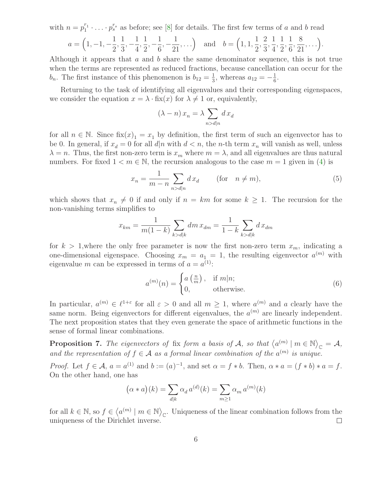with  $n = p_1^{r_1} \cdot \ldots \cdot p_s^{r_s}$  as before; see [\[8\]](#page-10-1) for details. The first few terms of a and b read  $a = (1, -1, -1)$ 1 2 , 1 3 , − 1 4 , 1 2 , − 1 6 , − 1 21  $, \ldots$  and  $b = (1, 1,$ 1 2 , 2 3 , 1 4 , 1 2 , 1 6 , 8 21  $,...).$ 

Although it appears that a and b share the same denominator sequence, this is not true when the terms are represented as reduced fractions, because cancellation can occur for the  $b_n$ . The first instance of this phenomenon is  $b_{12} = \frac{1}{3}$  $\frac{1}{3}$ , whereas  $a_{12} = -\frac{1}{6}$  $\frac{1}{6}$ .

Returning to the task of identifying all eigenvalues and their corresponding eigenspaces, we consider the equation  $x = \lambda \cdot \text{fix}(x)$  for  $\lambda \neq 1$  or, equivalently,

$$
(\lambda-n)\,x_n=\lambda\sum_{n>d|n}d\,x_d
$$

for all  $n \in \mathbb{N}$ . Since  $fix(x)_1 = x_1$  by definition, the first term of such an eigenvector has to be 0. In general, if  $x_d = 0$  for all  $d|n$  with  $d < n$ , the n-th term  $x_n$  will vanish as well, unless  $\lambda = n$ . Thus, the first non-zero term is  $x_m$  where  $m = \lambda$ , and all eigenvalues are thus natural numbers. For fixed  $1 < m \in \mathbb{N}$ , the recursion analogous to the case  $m = 1$  given in [\(4\)](#page-2-0) is

$$
x_n = \frac{1}{m-n} \sum_{n > d|n} dx_d \qquad \text{(for} \quad n \neq m),
$$
 (5)

which shows that  $x_n \neq 0$  if and only if  $n = km$  for some  $k \geq 1$ . The recursion for the non-vanishing terms simplifies to

$$
x_{km} = \frac{1}{m(1-k)} \sum_{k > d|k} dm x_{dm} = \frac{1}{1-k} \sum_{k > d|k} dx_{dm}
$$

for  $k > 1$ , where the only free parameter is now the first non-zero term  $x_m$ , indicating a one-dimensional eigenspace. Choosing  $x_m = a_1 = 1$ , the resulting eigenvector  $a^{(m)}$  with eigenvalue m can be expressed in terms of  $a = a^{(1)}$ :

$$
a^{(m)}(n) = \begin{cases} a\left(\frac{n}{m}\right), & \text{if } m|n; \\ 0, & \text{otherwise.} \end{cases}
$$
 (6)

In particular,  $a^{(m)} \in \ell^{1+\varepsilon}$  for all  $\varepsilon > 0$  and all  $m \ge 1$ , where  $a^{(m)}$  and a clearly have the same norm. Being eigenvectors for different eigenvalues, the  $a^{(m)}$  are linearly independent. The next proposition states that they even generate the space of arithmetic functions in the sense of formal linear combinations.

**Proposition 7.** The eigenvectors of fix form a basis of A, so that  $\langle a^{(m)} \mid m \in \mathbb{N} \rangle_{\mathbb{C}} = A$ , and the representation of  $f \in A$  as a formal linear combination of the  $a^{(m)}$  is unique.

*Proof.* Let  $f \in \mathcal{A}$ ,  $a = a^{(1)}$  and  $b := (a)^{-1}$ , and set  $\alpha = f * b$ . Then,  $\alpha * a = (f * b) * a = f$ . On the other hand, one has

$$
(\alpha * a)(k) = \sum_{d|k} \alpha_d a^{(d)}(k) = \sum_{m \ge 1} \alpha_m a^{(m)}(k)
$$

for all  $k \in \mathbb{N}$ , so  $f \in \langle a^{(m)} \mid m \in \mathbb{N} \rangle_{\mathbb{C}}$ . Uniqueness of the linear combination follows from the uniqueness of the Dirichlet inverse.  $\Box$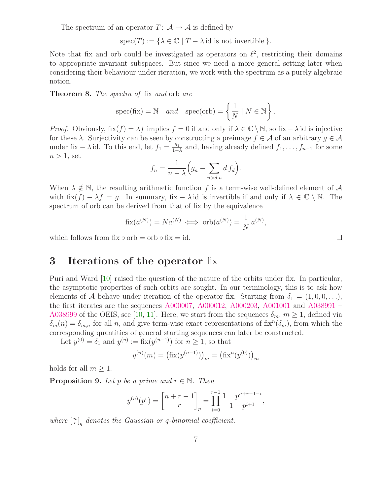The spectrum of an operator  $T: A \rightarrow A$  is defined by

 $spec(T) := {\lambda \in \mathbb{C} \mid T - \lambda \text{ id is not invertible }}.$ 

Note that fix and orb could be investigated as operators on  $\ell^2$ , restricting their domains to appropriate invariant subspaces. But since we need a more general setting later when considering their behaviour under iteration, we work with the spectrum as a purely algebraic notion.

Theorem 8. The spectra of fix and orb are

$$
spec(fix) = N \quad and \quad spec(orb) = \left\{ \frac{1}{N} \mid N \in \mathbb{N} \right\}
$$

.

*Proof.* Obviously,  $fix(f) = \lambda f$  implies  $f = 0$  if and only if  $\lambda \in \mathbb{C} \setminus \mathbb{N}$ , so fix  $-\lambda$  id is injective for these  $\lambda$ . Surjectivity can be seen by constructing a preimage  $f \in \mathcal{A}$  of an arbitrary  $g \in \mathcal{A}$ under fix –  $\lambda$  id. To this end, let  $f_1 = \frac{g_1}{1 - g_2}$  $\frac{g_1}{1-\lambda}$  and, having already defined  $f_1, \ldots, f_{n-1}$  for some  $n > 1$ , set

$$
f_n = \frac{1}{n - \lambda} \Big( g_n - \sum_{n > d | n} d f_d \Big).
$$

When  $\lambda \notin \mathbb{N}$ , the resulting arithmetic function f is a term-wise well-defined element of A with fix $(f) - \lambda f = g$ . In summary, fix –  $\lambda$  id is invertible if and only if  $\lambda \in \mathbb{C} \setminus \mathbb{N}$ . The spectrum of orb can be derived from that of fix by the equivalence

$$
\operatorname{fix}(a^{(N)}) = Na^{(N)} \iff \operatorname{orb}(a^{(N)}) = \frac{1}{N} a^{(N)},
$$

which follows from  $fix \circ orb = orb \circ fix = id$ .

#### 3 Iterations of the operator fix

Puri and Ward [\[10\]](#page-11-0) raised the question of the nature of the orbits under fix. In particular, the asymptotic properties of such orbits are sought. In our terminology, this is to ask how elements of A behave under iteration of the operator fix. Starting from  $\delta_1 = (1, 0, 0, \ldots),$ the first iterates are the sequences  $\underline{A000007}$ ,  $\underline{A000012}$ ,  $\underline{A000203}$ ,  $\underline{A001001}$  $\underline{A001001}$  $\underline{A001001}$  and  $\underline{A038991}$  $\underline{A038991}$  $\underline{A038991}$  – <u>[A038999](http://www.research.att.com/cgi-bin/access.cgi/as/~njas/sequences/eisA.cgi?Anum=A038999)</u> of the OEIS, see [\[10,](#page-11-0) [11\]](#page-11-1). Here, we start from the sequences  $\delta_m$ ,  $m \ge 1$ , defined via  $\delta_m(n) = \delta_{m,n}$  for all n, and give term-wise exact representations of fix<sup>n</sup>( $\delta_m$ ), from which the corresponding quantities of general starting sequences can later be constructed.

Let  $y^{(0)} = \delta_1$  and  $y^{(n)} := \text{fix}(y^{(n-1)})$  for  $n \ge 1$ , so that

$$
y^{(n)}(m) = (\text{fix}(y^{(n-1)}))_m = (\text{fix}^n(y^{(0)}))_m
$$

<span id="page-6-0"></span>holds for all  $m \geq 1$ .

**Proposition 9.** Let p be a prime and  $r \in \mathbb{N}$ . Then

$$
y^{(n)}(p^r) = \begin{bmatrix} n+r-1 \ r \end{bmatrix}_p = \prod_{i=0}^{r-1} \frac{1-p^{n+r-1-i}}{1-p^{i+1}},
$$

where  $\lbrack \begin{array}{c} n \\ r \end{array} \rbrack_q$  denotes the Gaussian or q-binomial coefficient.

 $\Box$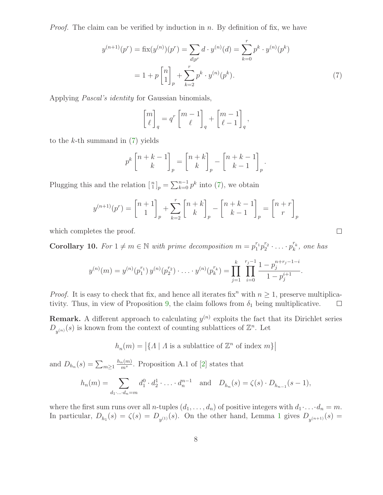*Proof.* The claim can be verified by induction in  $n$ . By definition of fix, we have

$$
y^{(n+1)}(p^r) = \text{fix}(y^{(n)})(p^r) = \sum_{d|p^r} d \cdot y^{(n)}(d) = \sum_{k=0}^r p^k \cdot y^{(n)}(p^k)
$$

$$
= 1 + p \begin{bmatrix} n \\ 1 \end{bmatrix}_p + \sum_{k=2}^r p^k \cdot y^{(n)}(p^k). \tag{7}
$$

Applying Pascal's identity for Gaussian binomials,

<span id="page-7-0"></span>
$$
\begin{bmatrix} m \\ \ell \end{bmatrix}_q = q^r \begin{bmatrix} m-1 \\ \ell \end{bmatrix}_q + \begin{bmatrix} m-1 \\ \ell-1 \end{bmatrix}_q,
$$

to the  $k$ -th summand in  $(7)$  yields

$$
p^{k}\begin{bmatrix}n+k-1\\k\end{bmatrix}_{p} = \begin{bmatrix}n+k\\k\end{bmatrix}_{p} - \begin{bmatrix}n+k-1\\k-1\end{bmatrix}_{p}.
$$

Plugging this and the relation  $\begin{bmatrix} n \\ 1 \end{bmatrix}_p = \sum_{k=0}^{n-1} p^k$  into [\(7\)](#page-7-0), we obtain

$$
y^{(n+1)}(p^r) = \begin{bmatrix} n+1 \\ 1 \end{bmatrix}_p + \sum_{k=2}^r \begin{bmatrix} n+k \\ k \end{bmatrix}_p - \begin{bmatrix} n+k-1 \\ k-1 \end{bmatrix}_p = \begin{bmatrix} n+r \\ r \end{bmatrix}_p
$$

 $\Box$ 

<span id="page-7-1"></span>which completes the proof.

**Corollary 10.** For  $1 \neq m \in \mathbb{N}$  with prime decomposition  $m = p_1^{r_1} p_2^{r_2} \cdot \ldots \cdot p_k^{r_k}$  $\int_k^r$ , one has

$$
y^{(n)}(m) = y^{(n)}(p_1^{r_1}) y^{(n)}(p_2^{r_2}) \cdot \ldots \cdot y^{(n)}(p_k^{r_k}) = \prod_{j=1}^k \prod_{i=0}^{r_j-1} \frac{1-p_j^{n+r_j-1-i}}{1-p_j^{i+1}}.
$$

*Proof.* It is easy to check that fix, and hence all iterates fix<sup>n</sup> with  $n > 1$ , preserve multiplica-tivity. Thus, in view of Proposition [9,](#page-6-0) the claim follows from  $\delta_1$  being multiplicative.  $\Box$ 

**Remark.** A different approach to calculating  $y^{(n)}$  exploits the fact that its Dirichlet series  $D_{y^{(n)}}(s)$  is known from the context of counting sublattices of  $\mathbb{Z}^n$ . Let

 $h_n(m) = |\{A \mid A \text{ is a sublattice of } \mathbb{Z}^n \text{ of index } m\}|$ 

and  $D_{h_n}(s) = \sum_{m \geq 1}$  $h_n(m)$  $\frac{n(m)}{m^s}$ . Proposition A.1 of [\[2\]](#page-10-4) states that

$$
h_n(m) = \sum_{d_1 \dots d_n = m} d_1^0 \cdot d_2^1 \cdot \dots \cdot d_n^{n-1} \text{ and } D_{h_n}(s) = \zeta(s) \cdot D_{h_{n-1}}(s-1),
$$

where the first sum runs over all *n*-tuples  $(d_1, \ldots, d_n)$  of positive integers with  $d_1 \cdot \ldots \cdot d_n = m$ . In particular,  $D_{h_1}(s) = \zeta(s) = D_{y^{(1)}}(s)$  $D_{h_1}(s) = \zeta(s) = D_{y^{(1)}}(s)$  $D_{h_1}(s) = \zeta(s) = D_{y^{(1)}}(s)$ . On the other hand, Lemma 1 gives  $D_{y^{(n+1)}}(s) =$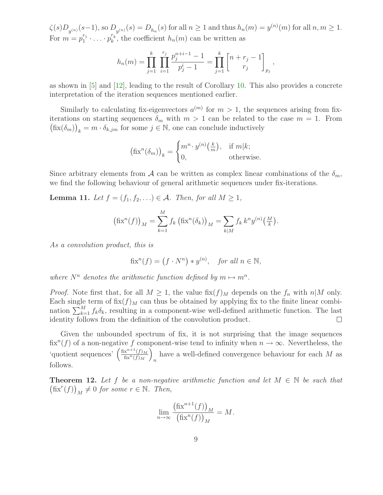$\zeta(s)D_{y^{(n)}}(s-1)$ , so  $D_{y^{(n)}}(s) = D_{h_n}(s)$  for all  $n \ge 1$  and thus  $h_n(m) = y^{(n)}(m)$  for all  $n, m \ge 1$ . For  $m = p_1^{r_1} \cdot \ldots \cdot p_k^{r_k}$  $h_k^{'k}$ , the coefficient  $h_n(m)$  can be written as

$$
h_n(m) = \prod_{j=1}^k \prod_{i=1}^{r_j} \frac{p_j^{n+i-1} - 1}{p_j^i - 1} = \prod_{j=1}^k \begin{bmatrix} n + r_j - 1 \ r_j \end{bmatrix}_{p_j},
$$

as shown in [\[5\]](#page-10-5) and [\[12\]](#page-11-2), leading to the result of Corollary [10.](#page-7-1) This also provides a concrete interpretation of the iteration sequences mentioned earlier.

Similarly to calculating fix-eigenvectors  $a^{(m)}$  for  $m > 1$ , the sequences arising from fixiterations on starting sequences  $\delta_m$  with  $m > 1$  can be related to the case  $m = 1$ . From  $(\operatorname{fix}(\delta_m))_k = m \cdot \delta_{k,jm}$  for some  $j \in \mathbb{N}$ , one can conclude inductively

$$
(\text{fix}^n(\delta_m))_k = \begin{cases} m^n \cdot y^{(n)}\left(\frac{k}{m}\right), & \text{if } m|k; \\ 0, & \text{otherwise.} \end{cases}
$$

<span id="page-8-0"></span>Since arbitrary elements from A can be written as complex linear combinations of the  $\delta_m$ , we find the following behaviour of general arithmetic sequences under fix-iterations.

**Lemma 11.** Let  $f = (f_1, f_2, \ldots) \in \mathcal{A}$ . Then, for all  $M \geq 1$ ,

$$
\left(\operatorname{fix}^n(f)\right)_M = \sum_{k=1}^M f_k \left(\operatorname{fix}^n(\delta_k)\right)_M = \sum_{k|M} f_k k^n y^{(n)} \left(\frac{M}{k}\right).
$$

As a convolution product, this is

$$
\text{fix}^n(f) = (f \cdot N^n) * y^{(n)}, \text{ for all } n \in \mathbb{N},
$$

where  $N^n$  denotes the arithmetic function defined by  $m \mapsto m^n$ .

*Proof.* Note first that, for all  $M \geq 1$ , the value fix $(f)_M$  depends on the  $f_n$  with  $n|M$  only. Each single term of  $\operatorname{fix}(f)_M$  can thus be obtained by applying fix to the finite linear combination  $\sum_{k=1}^{M} f_k \delta_k$ , resulting in a component-wise well-defined arithmetic function. The last identity follows from the definition of the convolution product.  $\Box$ 

Given the unbounded spectrum of fix, it is not surprising that the image sequences fix<sup>n</sup>(f) of a non-negative f component-wise tend to infinity when  $n \to \infty$ . Nevertheless, the 'quotient sequences'  $\left(\frac{\text{fix}^{n+1}(f)_M}{\text{fix}^n(f)_M}\right)$  $\overline{\text{fix}^n(f)_M}$  $\setminus$ have a well-defined convergence behaviour for each  $M$  as follows.

**Theorem 12.** Let f be a non-negative arithmetic function and let  $M \in \mathbb{N}$  be such that  $(\text{fix}^r(f))_M \neq 0$  for some  $r \in \mathbb{N}$ . Then,

$$
\lim_{n \to \infty} \frac{\left(\text{fix}^{n+1}(f)\right)_M}{\left(\text{fix}^n(f)\right)_M} = M.
$$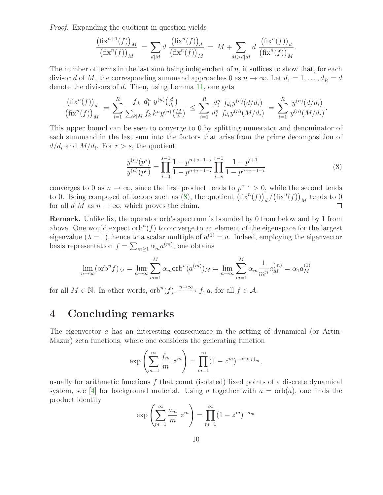Proof. Expanding the quotient in question yields

$$
\frac{\left(\operatorname{fix}^{n+1}(f)\right)_M}{\left(\operatorname{fix}^n(f)\right)_M} = \sum_{d \mid M} d \frac{\left(\operatorname{fix}^n(f)\right)_d}{\left(\operatorname{fix}^n(f)\right)_M} = M + \sum_{M > d \mid M} d \frac{\left(\operatorname{fix}^n(f)\right)_d}{\left(\operatorname{fix}^n(f)\right)_M}.
$$

The number of terms in the last sum being independent of  $n$ , it suffices to show that, for each divisor d of M, the corresponding summand approaches 0 as  $n \to \infty$ . Let  $d_1 = 1, \ldots, d_R = d$ denote the divisors of d. Then, using Lemma [11,](#page-8-0) one gets

$$
\frac{\left(\text{fix}^n(f)\right)_d}{\left(\text{fix}^n(f)\right)_M} = \sum_{i=1}^R \frac{f_{d_i} d_i^n y^{(n)} \left(\frac{d}{d_i}\right)}{\sum_{k|M} f_k k^n y^{(n)} \left(\frac{M}{k}\right)} \le \sum_{i=1}^R \frac{d_i^n f_{d_i} y^{(n)} \left(\frac{d}{d_i}\right)}{d_i^n f_{d_i} y^{(n)} \left(\frac{M}{d_i}\right)} = \sum_{i=1}^R \frac{y^{(n)} \left(\frac{d}{d_i}\right)}{y^{(n)} \left(\frac{M}{d_i}\right)}
$$

This upper bound can be seen to converge to 0 by splitting numerator and denominator of each summand in the last sum into the factors that arise from the prime decomposition of  $d/d_i$  and  $M/d_i$ . For  $r > s$ , the quotient

<span id="page-9-0"></span>
$$
\frac{y^{(n)}(p^s)}{y^{(n)}(p^r)} = \prod_{i=0}^{s-1} \frac{1-p^{n+s-1-i}}{1-p^{n+r-1-i}} \prod_{i=s}^{r-1} \frac{1-p^{i+1}}{1-p^{n+r-1-i}} \tag{8}
$$

.

converges to 0 as  $n \to \infty$ , since the first product tends to  $p^{s-r} > 0$ , while the second tends to 0. Being composed of factors such as [\(8\)](#page-9-0), the quotient  $(\text{fix}^n(f))_d / (\text{fix}^n(f))_M$  tends to 0 for all  $d|M$  as  $n \to \infty$ , which proves the claim.  $\Box$ 

Remark. Unlike fix, the operator orb's spectrum is bounded by 0 from below and by 1 from above. One would expect orb<sup>n</sup> $(f)$  to converge to an element of the eigenspace for the largest eigenvalue ( $\lambda = 1$ ), hence to a scalar multiple of  $a^{(1)} = a$ . Indeed, employing the eigenvector basis representation  $f = \sum_{m \geq 1} \alpha_m a^{(m)}$ , one obtains

$$
\lim_{n \to \infty} (\text{orb}^n f)_M = \lim_{n \to \infty} \sum_{m=1}^M \alpha_m \text{orb}^n (a^{(m)})_M = \lim_{n \to \infty} \sum_{m=1}^M \alpha_m \frac{1}{m^n} a^{(m)}_M = \alpha_1 a^{(1)}_M
$$

for all  $M \in \mathbb{N}$ . In other words,  $orb^{n}(f) \xrightarrow{n \to \infty} f_1 a$ , for all  $f \in \mathcal{A}$ .

#### 4 Concluding remarks

The eigenvector a has an interesting consequence in the setting of dynamical (or Artin-Mazur) zeta functions, where one considers the generating function

$$
\exp\left(\sum_{m=1}^{\infty} \frac{f_m}{m} z^m\right) = \prod_{m=1}^{\infty} (1 - z^m)^{-\operatorname{orb}(f)_m},
$$

usually for arithmetic functions  $f$  that count (isolated) fixed points of a discrete dynamical system, see [\[4\]](#page-10-6) for background material. Using a together with  $a = \text{orb}(a)$ , one finds the product identity

$$
\exp\left(\sum_{m=1}^{\infty} \frac{a_m}{m} z^m\right) = \prod_{m=1}^{\infty} (1 - z^m)^{-a_m}
$$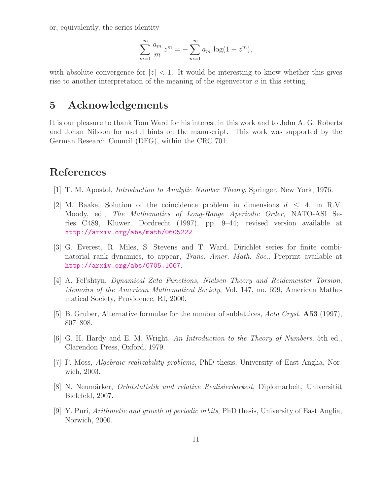or, equivalently, the series identity

$$
\sum_{m=1}^{\infty} \frac{a_m}{m} z^m = -\sum_{m=1}^{\infty} a_m \log(1 - z^m),
$$

with absolute convergence for  $|z| < 1$ . It would be interesting to know whether this gives rise to another interpretation of the meaning of the eigenvector  $a$  in this setting.

#### 5 Acknowledgements

It is our pleasure to thank Tom Ward for his interest in this work and to John A. G. Roberts and Johan Nilsson for useful hints on the manuscript. This work was supported by the German Research Council (DFG), within the CRC 701.

# <span id="page-10-0"></span>References

- <span id="page-10-4"></span>[1] T. M. Apostol, Introduction to Analytic Number Theory, Springer, New York, 1976.
- [2] M. Baake, Solution of the coincidence problem in dimensions  $d \leq 4$ , in R.V. Moody, ed., The Mathematics of Long-Range Aperiodic Order, NATO-ASI Series C489, Kluwer, Dordrecht (1997), pp. 9–44; revised version available at <http://arxiv.org/abs/math/0605222>.
- <span id="page-10-2"></span>[3] G. Everest, R. Miles, S. Stevens and T. Ward, Dirichlet series for finite combinatorial rank dynamics, to appear, Trans. Amer. Math. Soc.. Preprint available at <http://arxiv.org/abs/0705.1067>.
- <span id="page-10-6"></span>[4] A. Fel'shtyn, Dynamical Zeta Functions, Nielsen Theory and Reidemeister Torsion, Memoirs of the American Mathematical Society, Vol. 147, no. 699, American Mathematical Society, Providence, RI, 2000.
- <span id="page-10-5"></span><span id="page-10-3"></span>[5] B. Gruber, Alternative formulae for the number of sublattices, Acta Cryst. **A53** (1997), 807–808.
- [6] G. H. Hardy and E. M. Wright, An Introduction to the Theory of Numbers, 5th ed., Clarendon Press, Oxford, 1979.
- [7] P. Moss, *Algebraic realizability problems*, PhD thesis, University of East Anglia, Norwich, 2003.
- <span id="page-10-1"></span>[8] N. Neumärker, *Orbitstatistik und relative Realisierbarkeit*, Diplomarbeit, Universität Bielefeld, 2007.
- [9] Y. Puri, Arithmetic and growth of periodic orbits, PhD thesis, University of East Anglia, Norwich, 2000.